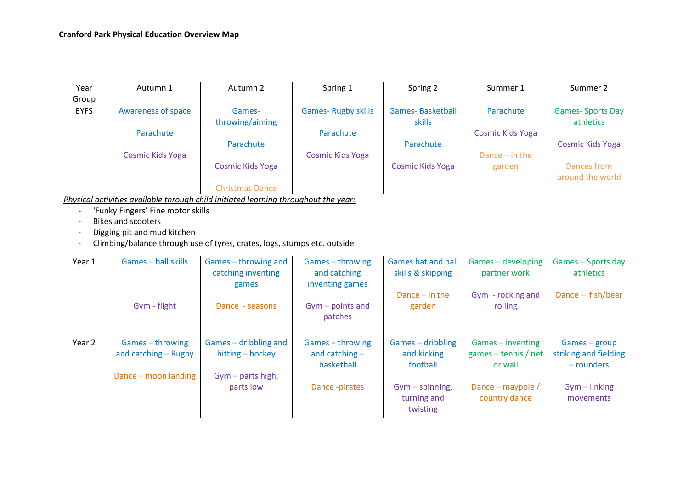| Year                                                                                                    | Autumn 1                  | Autumn 2                                                                            | Spring 1                  | Spring 2                  | Summer 1                | Summer 2                |  |  |  |  |  |
|---------------------------------------------------------------------------------------------------------|---------------------------|-------------------------------------------------------------------------------------|---------------------------|---------------------------|-------------------------|-------------------------|--|--|--|--|--|
| Group                                                                                                   |                           |                                                                                     |                           |                           |                         |                         |  |  |  |  |  |
| <b>EYFS</b>                                                                                             | <b>Awareness of space</b> | Games-                                                                              | <b>Games-Rugby skills</b> | <b>Games-Basketball</b>   | Parachute               | <b>Games-Sports Day</b> |  |  |  |  |  |
|                                                                                                         |                           | throwing/aiming                                                                     |                           | skills                    |                         | athletics               |  |  |  |  |  |
|                                                                                                         | Parachute                 |                                                                                     | Parachute                 |                           | <b>Cosmic Kids Yoga</b> |                         |  |  |  |  |  |
|                                                                                                         |                           | Parachute                                                                           |                           | Parachute                 |                         | <b>Cosmic Kids Yoga</b> |  |  |  |  |  |
|                                                                                                         | <b>Cosmic Kids Yoga</b>   |                                                                                     | <b>Cosmic Kids Yoga</b>   |                           | Dance $-$ in the        |                         |  |  |  |  |  |
|                                                                                                         |                           | <b>Cosmic Kids Yoga</b>                                                             |                           | <b>Cosmic Kids Yoga</b>   | garden                  | <b>Dances from</b>      |  |  |  |  |  |
|                                                                                                         |                           |                                                                                     |                           |                           |                         | around the world        |  |  |  |  |  |
|                                                                                                         |                           | <b>Christmas Dance</b>                                                              |                           |                           |                         |                         |  |  |  |  |  |
|                                                                                                         |                           | Physical activities available through child initiated learning throughout the year: |                           |                           |                         |                         |  |  |  |  |  |
| 'Funky Fingers' Fine motor skills                                                                       |                           |                                                                                     |                           |                           |                         |                         |  |  |  |  |  |
|                                                                                                         | <b>Bikes and scooters</b> |                                                                                     |                           |                           |                         |                         |  |  |  |  |  |
| Digging pit and mud kitchen<br>Climbing/balance through use of tyres, crates, logs, stumps etc. outside |                           |                                                                                     |                           |                           |                         |                         |  |  |  |  |  |
|                                                                                                         |                           |                                                                                     |                           |                           |                         |                         |  |  |  |  |  |
| Year 1                                                                                                  | Games - ball skills       | Games - throwing and                                                                | Games - throwing          | <b>Games bat and ball</b> | Games - developing      | Games - Sports day      |  |  |  |  |  |
|                                                                                                         |                           | catching inventing                                                                  | and catching              | skills & skipping         | partner work            | athletics               |  |  |  |  |  |
|                                                                                                         |                           | games                                                                               | inventing games           |                           |                         |                         |  |  |  |  |  |
|                                                                                                         |                           |                                                                                     |                           | Dance $-$ in the          | Gym - rocking and       | Dance $-$ fish/bear     |  |  |  |  |  |
|                                                                                                         | Gym - flight              | Dance - seasons                                                                     | $Gym$ – points and        | garden                    | rolling                 |                         |  |  |  |  |  |
|                                                                                                         |                           |                                                                                     | patches                   |                           |                         |                         |  |  |  |  |  |
|                                                                                                         |                           |                                                                                     |                           |                           |                         |                         |  |  |  |  |  |
| Year 2                                                                                                  | Games - throwing          | Games - dribbling and                                                               | Games = throwing          | Games - dribbling         | Games - inventing       | Games - group           |  |  |  |  |  |
|                                                                                                         | and catching - Rugby      | hitting - hockey                                                                    | and catching -            | and kicking               | games $-$ tennis / net  | striking and fielding   |  |  |  |  |  |
|                                                                                                         |                           |                                                                                     | basketball                | football                  | or wall                 | - rounders              |  |  |  |  |  |
|                                                                                                         | Dance - moon landing      | $Gym$ – parts high,                                                                 |                           |                           |                         |                         |  |  |  |  |  |
|                                                                                                         |                           | parts low                                                                           | Dance -pirates            | $Gym$ - spinning,         | Dance - maypole /       | $Gym$ – linking         |  |  |  |  |  |
|                                                                                                         |                           |                                                                                     |                           | turning and               | country dance           | movements               |  |  |  |  |  |
|                                                                                                         |                           |                                                                                     |                           | twisting                  |                         |                         |  |  |  |  |  |